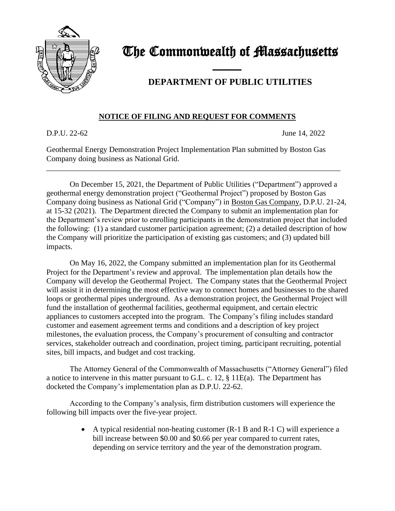

## The Commonwealth of Massachusetts

## **DEPARTMENT OF PUBLIC UTILITIES**

## **NOTICE OF FILING AND REQUEST FOR COMMENTS**

D.P.U. 22-62 June 14, 2022

Geothermal Energy Demonstration Project Implementation Plan submitted by Boston Gas Company doing business as National Grid.

\_\_\_\_\_\_\_\_\_\_\_\_\_\_\_\_\_\_\_\_\_\_\_\_\_\_\_\_\_\_\_\_\_\_\_\_\_\_\_\_\_\_\_\_\_\_\_\_\_\_\_\_\_\_\_\_\_\_\_\_\_\_\_\_\_\_\_\_\_\_\_\_\_\_\_\_

and the contract of the contract of

On December 15, 2021, the Department of Public Utilities ("Department") approved a geothermal energy demonstration project ("Geothermal Project") proposed by Boston Gas Company doing business as National Grid ("Company") in Boston Gas Company, D.P.U. 21-24, at 15-32 (2021). The Department directed the Company to submit an implementation plan for the Department's review prior to enrolling participants in the demonstration project that included the following: (1) a standard customer participation agreement; (2) a detailed description of how the Company will prioritize the participation of existing gas customers; and (3) updated bill impacts.

On May 16, 2022, the Company submitted an implementation plan for its Geothermal Project for the Department's review and approval. The implementation plan details how the Company will develop the Geothermal Project. The Company states that the Geothermal Project will assist it in determining the most effective way to connect homes and businesses to the shared loops or geothermal pipes underground. As a demonstration project, the Geothermal Project will fund the installation of geothermal facilities, geothermal equipment, and certain electric appliances to customers accepted into the program. The Company's filing includes standard customer and easement agreement terms and conditions and a description of key project milestones, the evaluation process, the Company's procurement of consulting and contractor services, stakeholder outreach and coordination, project timing, participant recruiting, potential sites, bill impacts, and budget and cost tracking.

The Attorney General of the Commonwealth of Massachusetts ("Attorney General") filed a notice to intervene in this matter pursuant to G.L. c. 12, § 11E(a). The Department has docketed the Company's implementation plan as D.P.U. 22-62.

According to the Company's analysis, firm distribution customers will experience the following bill impacts over the five-year project.

> • A typical residential non-heating customer (R-1 B and R-1 C) will experience a bill increase between \$0.00 and \$0.66 per year compared to current rates, depending on service territory and the year of the demonstration program.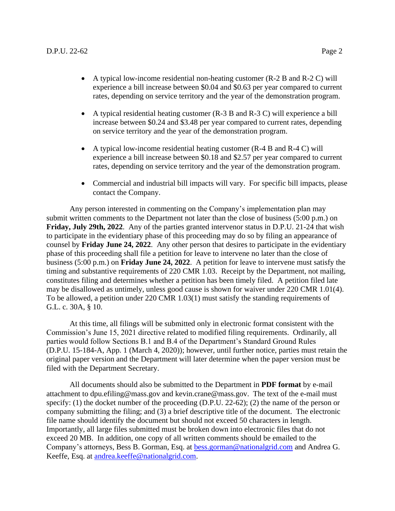- A typical low-income residential non-heating customer (R-2 B and R-2 C) will experience a bill increase between \$0.04 and \$0.63 per year compared to current rates, depending on service territory and the year of the demonstration program.
- A typical residential heating customer (R-3 B and R-3 C) will experience a bill increase between \$0.24 and \$3.48 per year compared to current rates, depending on service territory and the year of the demonstration program.
- A typical low-income residential heating customer (R-4 B and R-4 C) will experience a bill increase between \$0.18 and \$2.57 per year compared to current rates, depending on service territory and the year of the demonstration program.
- Commercial and industrial bill impacts will vary. For specific bill impacts, please contact the Company.

Any person interested in commenting on the Company's implementation plan may submit written comments to the Department not later than the close of business (5:00 p.m.) on **Friday, July 29th, 2022**. Any of the parties granted intervenor status in D.P.U. 21-24 that wish to participate in the evidentiary phase of this proceeding may do so by filing an appearance of counsel by **Friday June 24, 2022**. Any other person that desires to participate in the evidentiary phase of this proceeding shall file a petition for leave to intervene no later than the close of business (5:00 p.m.) on **Friday June 24, 2022**. A petition for leave to intervene must satisfy the timing and substantive requirements of 220 CMR 1.03. Receipt by the Department, not mailing, constitutes filing and determines whether a petition has been timely filed. A petition filed late may be disallowed as untimely, unless good cause is shown for waiver under 220 CMR 1.01(4). To be allowed, a petition under 220 CMR 1.03(1) must satisfy the standing requirements of G.L. c. 30A, § 10.

At this time, all filings will be submitted only in electronic format consistent with the Commission's June 15, 2021 directive related to modified filing requirements. Ordinarily, all parties would follow Sections B.1 and B.4 of the Department's Standard Ground Rules (D.P.U. 15-184-A, App. 1 (March 4, 2020)); however, until further notice, parties must retain the original paper version and the Department will later determine when the paper version must be filed with the Department Secretary.

All documents should also be submitted to the Department in **PDF format** by e-mail attachment to dpu.efiling@mass.gov and kevin.crane@mass.gov. The text of the e-mail must specify: (1) the docket number of the proceeding (D.P.U. 22-62); (2) the name of the person or company submitting the filing; and (3) a brief descriptive title of the document. The electronic file name should identify the document but should not exceed 50 characters in length. Importantly, all large files submitted must be broken down into electronic files that do not exceed 20 MB. In addition, one copy of all written comments should be emailed to the Company's attorneys, Bess B. Gorman, Esq. at [bess.gorman@nationalgrid.com](mailto:bess.gorman@nationalgrid.com) and Andrea G. Keeffe, Esq. at [andrea.keeffe@nationalgrid.com.](mailto:andrea.keeffe@nationalgrid.com)